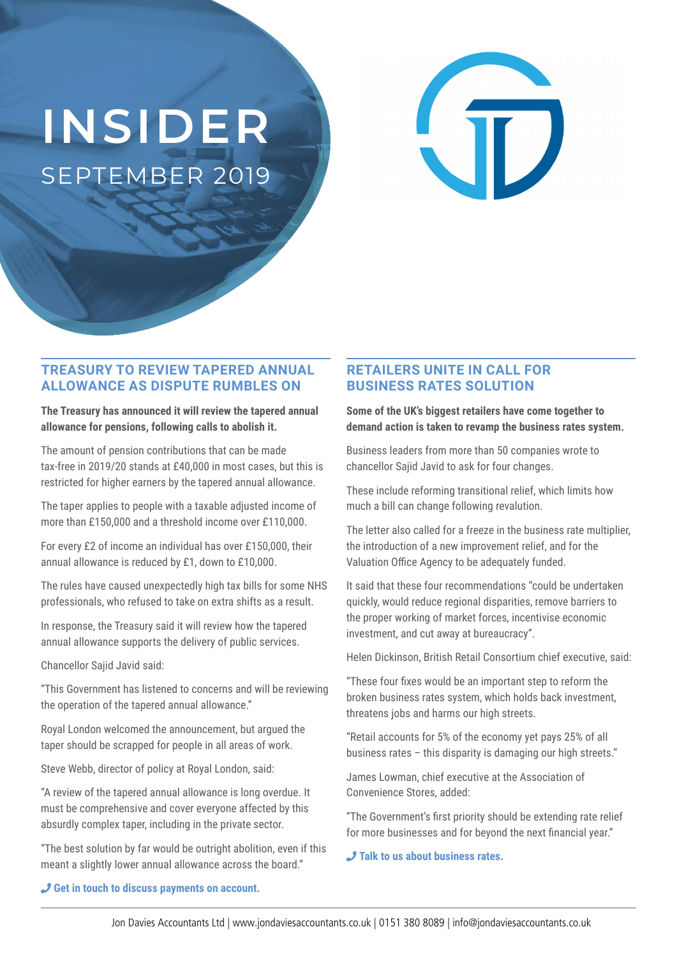# **INSIDER** SEPTEMBER 2019



### **TREASURY TO REVIEW TAPERED ANNUAL ALLOWANCE AS DISPUTE RUMBLES ON**

#### **The Treasury has announced it will review the tapered annual allowance for pensions, following calls to abolish it.**

The amount of pension contributions that can be made tax-free in 2019/20 stands at £40,000 in most cases, but this is restricted for higher earners by the tapered annual allowance.

The taper applies to people with a taxable adjusted income of more than £150,000 and a threshold income over £110,000.

For every £2 of income an individual has over £150,000, their annual allowance is reduced by £1, down to £10,000.

The rules have caused unexpectedly high tax bills for some NHS professionals, who refused to take on extra shifts as a result.

In response, the Treasury said it will review how the tapered annual allowance supports the delivery of public services.

Chancellor Sajid Javid said:

"This Government has listened to concerns and will be reviewing the operation of the tapered annual allowance."

Royal London welcomed the announcement, but argued the taper should be scrapped for people in all areas of work.

Steve Webb, director of policy at Royal London, said:

"A review of the tapered annual allowance is long overdue. It must be comprehensive and cover everyone affected by this absurdly complex taper, including in the private sector.

"The best solution by far would be outright abolition, even if this meant a slightly lower annual allowance across the board."

## **RETAILERS UNITE IN CALL FOR BUSINESS RATES SOLUTION**

**Some of the UK's biggest retailers have come together to demand action is taken to revamp the business rates system.**

Business leaders from more than 50 companies wrote to chancellor Sajid Javid to ask for four changes.

These include reforming transitional relief, which limits how much a bill can change following revalution.

The letter also called for a freeze in the business rate multiplier, the introduction of a new improvement relief, and for the Valuation Office Agency to be adequately funded.

It said that these four recommendations "could be undertaken quickly, would reduce regional disparities, remove barriers to the proper working of market forces, incentivise economic investment, and cut away at bureaucracy".

Helen Dickinson, British Retail Consortium chief executive, said:

"These four fixes would be an important step to reform the broken business rates system, which holds back investment, threatens jobs and harms our high streets.

"Retail accounts for 5% of the economy yet pays 25% of all business rates – this disparity is damaging our high streets."

James Lowman, chief executive at the Association of Convenience Stores, added:

"The Government's first priority should be extending rate relief for more businesses and for beyond the next financial year."

¶ **Talk to us about business rates.**

¶ **Get in touch to discuss payments on account.**